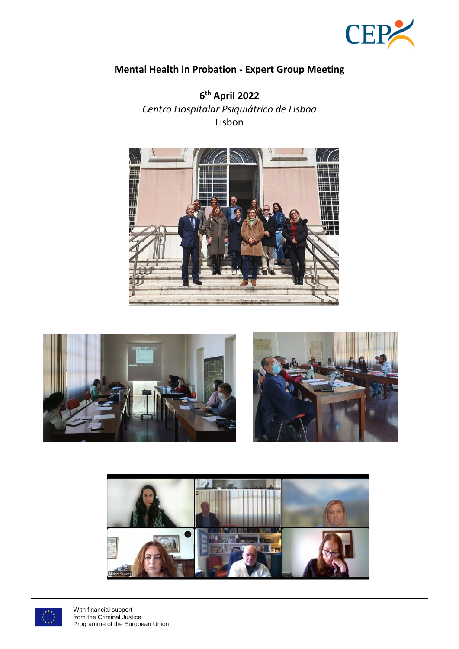

# **Mental Health in Probation - Expert Group Meeting**

**6 th April 2022** *Centro Hospitalar Psiquiátrico de Lisboa*  Lisbon











With financial support from the Criminal Justice Programme of the European Union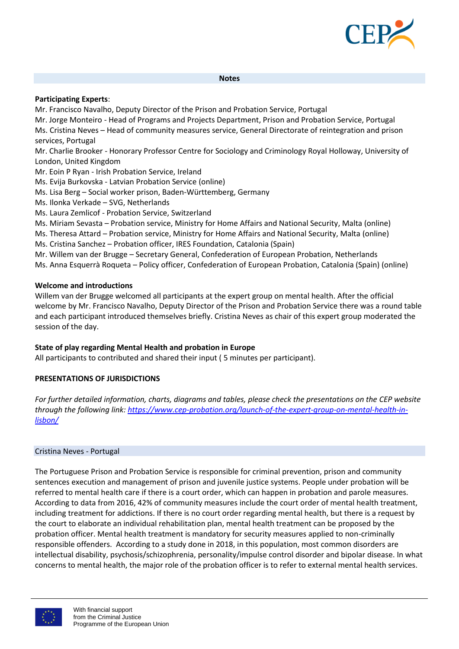

#### **Notes**

#### **Participating Experts**:

Mr. Francisco Navalho, Deputy Director of the Prison and Probation Service, Portugal

Mr. Jorge Monteiro - Head of Programs and Projects Department, Prison and Probation Service, Portugal

Ms. Cristina Neves – Head of community measures service, General Directorate of reintegration and prison services, Portugal

Mr. Charlie Brooker - Honorary Professor Centre for Sociology and Criminology Royal Holloway, University of London, United Kingdom

- Mr. Eoin P Ryan Irish Probation Service, Ireland
- Ms. Evija Burkovska Latvian Probation Service (online)
- Ms. Lisa Berg Social worker prison, Baden-Württemberg, Germany
- Ms. Ilonka Verkade SVG, Netherlands
- Ms. Laura Zemlicof Probation Service, Switzerland

Ms. Miriam Sevasta – Probation service, Ministry for Home Affairs and National Security, Malta (online)

Ms. Theresa Attard – Probation service, Ministry for Home Affairs and National Security, Malta (online)

Ms. Cristina Sanchez – Probation officer, IRES Foundation, Catalonia (Spain)

Mr. Willem van der Brugge – Secretary General, Confederation of European Probation, Netherlands

Ms. Anna Esquerrà Roqueta – Policy officer, Confederation of European Probation, Catalonia (Spain) (online)

## **Welcome and introductions**

Willem van der Brugge welcomed all participants at the expert group on mental health. After the official welcome by Mr. Francisco Navalho, Deputy Director of the Prison and Probation Service there was a round table and each participant introduced themselves briefly. Cristina Neves as chair of this expert group moderated the session of the day.

#### **State of play regarding Mental Health and probation in Europe**

All participants to contributed and shared their input ( 5 minutes per participant).

# **PRESENTATIONS OF JURISDICTIONS**

*For further detailed information, charts, diagrams and tables, please check the presentations on the CEP website through the following link[: https://www.cep-probation.org/launch-of-the-expert-group-on-mental-health-in](https://www.cep-probation.org/launch-of-the-expert-group-on-mental-health-in-lisbon/)[lisbon/](https://www.cep-probation.org/launch-of-the-expert-group-on-mental-health-in-lisbon/)*

#### Cristina Neves - Portugal

The Portuguese Prison and Probation Service is responsible for criminal prevention, prison and community sentences execution and management of prison and juvenile justice systems. People under probation will be referred to mental health care if there is a court order, which can happen in probation and parole measures. According to data from 2016, 42% of community measures include the court order of mental health treatment, including treatment for addictions. If there is no court order regarding mental health, but there is a request by the court to elaborate an individual rehabilitation plan, mental health treatment can be proposed by the probation officer. Mental health treatment is mandatory for security measures applied to non-criminally responsible offenders. According to a study done in 2018, in this population, most common disorders are intellectual disability, psychosis/schizophrenia, personality/impulse control disorder and bipolar disease. In what concerns to mental health, the major role of the probation officer is to refer to external mental health services.

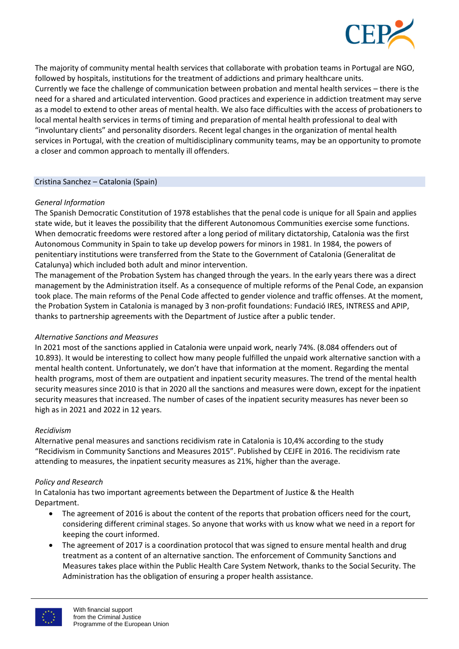

The majority of community mental health services that collaborate with probation teams in Portugal are NGO, followed by hospitals, institutions for the treatment of addictions and primary healthcare units. Currently we face the challenge of communication between probation and mental health services – there is the need for a shared and articulated intervention. Good practices and experience in addiction treatment may serve as a model to extend to other areas of mental health. We also face difficulties with the access of probationers to local mental health services in terms of timing and preparation of mental health professional to deal with "involuntary clients" and personality disorders. Recent legal changes in the organization of mental health services in Portugal, with the creation of multidisciplinary community teams, may be an opportunity to promote a closer and common approach to mentally ill offenders.

#### Cristina Sanchez – Catalonia (Spain)

#### *General Information*

The Spanish Democratic Constitution of 1978 establishes that the penal code is unique for all Spain and applies state wide, but it leaves the possibility that the different Autonomous Communities exercise some functions. When democratic freedoms were restored after a long period of military dictatorship, Catalonia was the first Autonomous Community in Spain to take up develop powers for minors in 1981. In 1984, the powers of penitentiary institutions were transferred from the State to the Government of Catalonia (Generalitat de Catalunya) which included both adult and minor intervention.

The management of the Probation System has changed through the years. In the early years there was a direct management by the Administration itself. As a consequence of multiple reforms of the Penal Code, an expansion took place. The main reforms of the Penal Code affected to gender violence and traffic offenses. At the moment, the Probation System in Catalonia is managed by 3 non-profit foundations: Fundació IRES, INTRESS and APIP, thanks to partnership agreements with the Department of Justice after a public tender.

#### *Alternative Sanctions and Measures*

In 2021 most of the sanctions applied in Catalonia were unpaid work, nearly 74%. (8.084 offenders out of 10.893). It would be interesting to collect how many people fulfilled the unpaid work alternative sanction with a mental health content. Unfortunately, we don't have that information at the moment. Regarding the mental health programs, most of them are outpatient and inpatient security measures. The trend of the mental health security measures since 2010 is that in 2020 all the sanctions and measures were down, except for the inpatient security measures that increased. The number of cases of the inpatient security measures has never been so high as in 2021 and 2022 in 12 years.

#### *Recidivism*

Alternative penal measures and sanctions recidivism rate in Catalonia is 10,4% according to the study "Recidivism in Community Sanctions and Measures 2015". Published by CEJFE in 2016. The recidivism rate attending to measures, the inpatient security measures as 21%, higher than the average.

#### *Policy and Research*

In Catalonia has two important agreements between the Department of Justice & the Health Department.

- The agreement of 2016 is about the content of the reports that probation officers need for the court, considering different criminal stages. So anyone that works with us know what we need in a report for keeping the court informed.
- The agreement of 2017 is a coordination protocol that was signed to ensure mental health and drug treatment as a content of an alternative sanction. The enforcement of Community Sanctions and Measures takes place within the Public Health Care System Network, thanks to the Social Security. The Administration has the obligation of ensuring a proper health assistance.

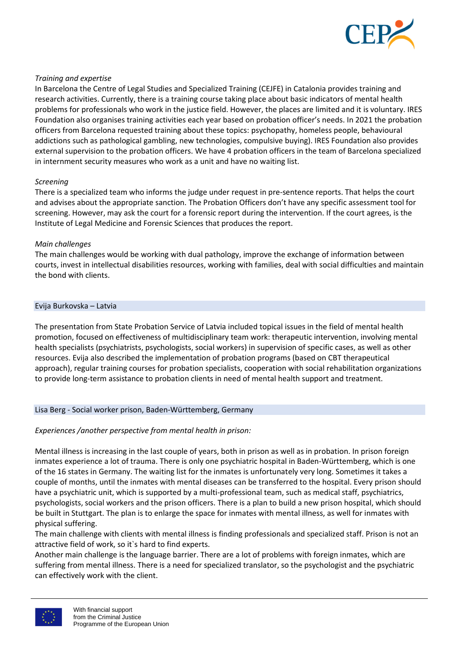

## *Training and expertise*

In Barcelona the Centre of Legal Studies and Specialized Training (CEJFE) in Catalonia provides training and research activities. Currently, there is a training course taking place about basic indicators of mental health problems for professionals who work in the justice field. However, the places are limited and it is voluntary. IRES Foundation also organises training activities each year based on probation officer's needs. In 2021 the probation officers from Barcelona requested training about these topics: psychopathy, homeless people, behavioural addictions such as pathological gambling, new technologies, compulsive buying). IRES Foundation also provides external supervision to the probation officers. We have 4 probation officers in the team of Barcelona specialized in internment security measures who work as a unit and have no waiting list.

#### *Screening*

There is a specialized team who informs the judge under request in pre-sentence reports. That helps the court and advises about the appropriate sanction. The Probation Officers don't have any specific assessment tool for screening. However, may ask the court for a forensic report during the intervention. If the court agrees, is the Institute of Legal Medicine and Forensic Sciences that produces the report.

#### *Main challenges*

The main challenges would be working with dual pathology, improve the exchange of information between courts, invest in intellectual disabilities resources, working with families, deal with social difficulties and maintain the bond with clients.

#### Evija Burkovska – Latvia

The presentation from State Probation Service of Latvia included topical issues in the field of mental health promotion, focused on effectiveness of multidisciplinary team work: therapeutic intervention, involving mental health specialists (psychiatrists, psychologists, social workers) in supervision of specific cases, as well as other resources. Evija also described the implementation of probation programs (based on CBT therapeutical approach), regular training courses for probation specialists, cooperation with social rehabilitation organizations to provide long-term assistance to probation clients in need of mental health support and treatment.

#### Lisa Berg - Social worker prison, Baden-Württemberg, Germany

#### *Experiences /another perspective from mental health in prison:*

Mental illness is increasing in the last couple of years, both in prison as well as in probation. In prison foreign inmates experience a lot of trauma. There is only one psychiatric hospital in Baden-Württemberg, which is one of the 16 states in Germany. The waiting list for the inmates is unfortunately very long. Sometimes it takes a couple of months, until the inmates with mental diseases can be transferred to the hospital. Every prison should have a psychiatric unit, which is supported by a multi-professional team, such as medical staff, psychiatrics, psychologists, social workers and the prison officers. There is a plan to build a new prison hospital, which should be built in Stuttgart. The plan is to enlarge the space for inmates with mental illness, as well for inmates with physical suffering.

The main challenge with clients with mental illness is finding professionals and specialized staff. Prison is not an attractive field of work, so it`s hard to find experts.

Another main challenge is the language barrier. There are a lot of problems with foreign inmates, which are suffering from mental illness. There is a need for specialized translator, so the psychologist and the psychiatric can effectively work with the client.

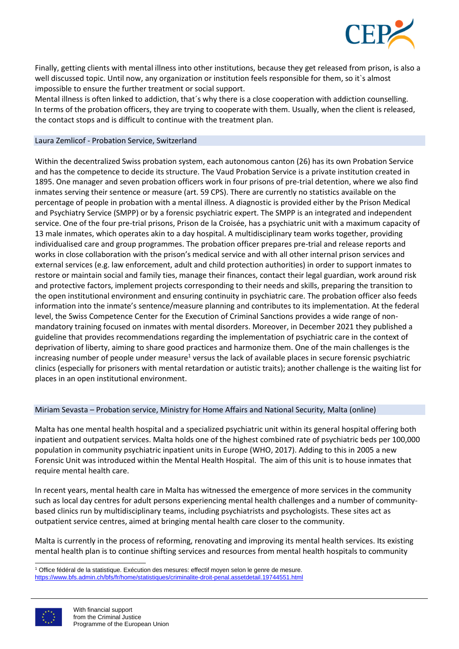

Finally, getting clients with mental illness into other institutions, because they get released from prison, is also a well discussed topic. Until now, any organization or institution feels responsible for them, so it`s almost impossible to ensure the further treatment or social support.

Mental illness is often linked to addiction, that´s why there is a close cooperation with addiction counselling. In terms of the probation officers, they are trying to cooperate with them. Usually, when the client is released, the contact stops and is difficult to continue with the treatment plan.

#### Laura Zemlicof - Probation Service, Switzerland

Within the decentralized Swiss probation system, each autonomous canton (26) has its own Probation Service and has the competence to decide its structure. The Vaud Probation Service is a private institution created in 1895. One manager and seven probation officers work in four prisons of pre-trial detention, where we also find inmates serving their sentence or measure (art. 59 CPS). There are currently no statistics available on the percentage of people in probation with a mental illness. A diagnostic is provided either by the Prison Medical and Psychiatry Service (SMPP) or by a forensic psychiatric expert. The SMPP is an integrated and independent service. One of the four pre-trial prisons, Prison de la Croisée, has a psychiatric unit with a maximum capacity of 13 male inmates, which operates akin to a day hospital. A multidisciplinary team works together, providing individualised care and group programmes. The probation officer prepares pre-trial and release reports and works in close collaboration with the prison's medical service and with all other internal prison services and external services (e.g. law enforcement, adult and child protection authorities) in order to support inmates to restore or maintain social and family ties, manage their finances, contact their legal guardian, work around risk and protective factors, implement projects corresponding to their needs and skills, preparing the transition to the open institutional environment and ensuring continuity in psychiatric care. The probation officer also feeds information into the inmate's sentence/measure planning and contributes to its implementation. At the federal level, the Swiss Competence Center for the Execution of Criminal Sanctions provides a wide range of nonmandatory training focused on inmates with mental disorders. Moreover, in December 2021 they published a guideline that provides recommendations regarding the implementation of psychiatric care in the context of deprivation of liberty, aiming to share good practices and harmonize them. One of the main challenges is the increasing number of people under measure<sup>1</sup> versus the lack of available places in secure forensic psychiatric clinics (especially for prisoners with mental retardation or autistic traits); another challenge is the waiting list for places in an open institutional environment.

#### Miriam Sevasta – Probation service, Ministry for Home Affairs and National Security, Malta (online)

Malta has one mental health hospital and a specialized psychiatric unit within its general hospital offering both inpatient and outpatient services. Malta holds one of the highest combined rate of psychiatric beds per 100,000 population in community psychiatric inpatient units in Europe (WHO, 2017). Adding to this in 2005 a new Forensic Unit was introduced within the Mental Health Hospital. The aim of this unit is to house inmates that require mental health care.

In recent years, mental health care in Malta has witnessed the emergence of more services in the community such as local day centres for adult persons experiencing mental health challenges and a number of communitybased clinics run by multidisciplinary teams, including psychiatrists and psychologists. These sites act as outpatient service centres, aimed at bringing mental health care closer to the community.

Malta is currently in the process of reforming, renovating and improving its mental health services. Its existing mental health plan is to continue shifting services and resources from mental health hospitals to community

<https://www.bfs.admin.ch/bfs/fr/home/statistiques/criminalite-droit-penal.assetdetail.19744551.html>



<sup>&</sup>lt;sup>1</sup> Office fédéral de la statistique. Exécution des mesures: effectif moyen selon le genre de mesure.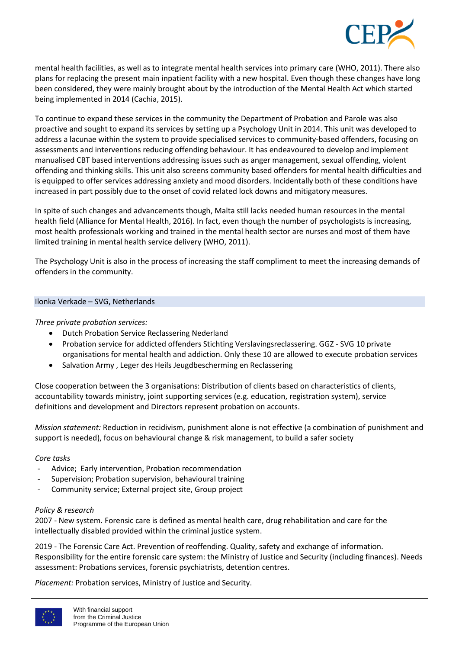

mental health facilities, as well as to integrate mental health services into primary care (WHO, 2011). There also plans for replacing the present main inpatient facility with a new hospital. Even though these changes have long been considered, they were mainly brought about by the introduction of the Mental Health Act which started being implemented in 2014 (Cachia, 2015).

To continue to expand these services in the community the Department of Probation and Parole was also proactive and sought to expand its services by setting up a Psychology Unit in 2014. This unit was developed to address a lacunae within the system to provide specialised services to community-based offenders, focusing on assessments and interventions reducing offending behaviour. It has endeavoured to develop and implement manualised CBT based interventions addressing issues such as anger management, sexual offending, violent offending and thinking skills. This unit also screens community based offenders for mental health difficulties and is equipped to offer services addressing anxiety and mood disorders. Incidentally both of these conditions have increased in part possibly due to the onset of covid related lock downs and mitigatory measures.

In spite of such changes and advancements though, Malta still lacks needed human resources in the mental health field (Alliance for Mental Health, 2016). In fact, even though the number of psychologists is increasing, most health professionals working and trained in the mental health sector are nurses and most of them have limited training in mental health service delivery (WHO, 2011).

The Psychology Unit is also in the process of increasing the staff compliment to meet the increasing demands of offenders in the community.

#### Ilonka Verkade – SVG, Netherlands

# *Three private probation services:*

- Dutch Probation Service Reclassering Nederland
- Probation service for addicted offenders Stichting Verslavingsreclassering. GGZ SVG 10 private organisations for mental health and addiction. Only these 10 are allowed to execute probation services
- Salvation Army , Leger des Heils Jeugdbescherming en Reclassering

Close cooperation between the 3 organisations: Distribution of clients based on characteristics of clients, accountability towards ministry, joint supporting services (e.g. education, registration system), service definitions and development and Directors represent probation on accounts.

*Mission statement:* Reduction in recidivism, punishment alone is not effective (a combination of punishment and support is needed), focus on behavioural change & risk management, to build a safer society

# *Core tasks*

- Advice; Early intervention, Probation recommendation
- Supervision; Probation supervision, behavioural training
- Community service; External project site, Group project

#### *Policy & research*

2007 - New system. Forensic care is defined as mental health care, drug rehabilitation and care for the intellectually disabled provided within the criminal justice system.

2019 - The Forensic Care Act. Prevention of reoffending. Quality, safety and exchange of information. Responsibility for the entire forensic care system: the Ministry of Justice and Security (including finances). Needs assessment: Probations services, forensic psychiatrists, detention centres.

*Placement:* Probation services, Ministry of Justice and Security.

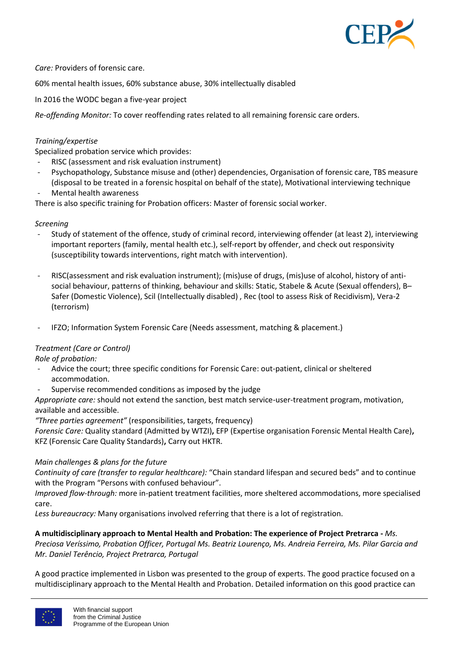

*Care:* Providers of forensic care.

60% mental health issues, 60% substance abuse, 30% intellectually disabled

In 2016 the WODC began a five-year project

*Re-offending Monitor:* To cover reoffending rates related to all remaining forensic care orders.

## *Training/expertise*

Specialized probation service which provides:

- RISC (assessment and risk evaluation instrument)
- Psychopathology, Substance misuse and (other) dependencies, Organisation of forensic care, TBS measure (disposal to be treated in a forensic hospital on behalf of the state), Motivational interviewing technique
- Mental health awareness

There is also specific training for Probation officers: Master of forensic social worker.

#### *Screening*

- Study of statement of the offence, study of criminal record, interviewing offender (at least 2), interviewing important reporters (family, mental health etc.), self-report by offender, and check out responsivity (susceptibility towards interventions, right match with intervention).
- RISC(assessment and risk evaluation instrument); (mis)use of drugs, (mis)use of alcohol, history of antisocial behaviour, patterns of thinking, behaviour and skills: Static, Stabele & Acute (Sexual offenders), B– Safer (Domestic Violence), Scil (Intellectually disabled) , Rec (tool to assess Risk of Recidivism), Vera-2 (terrorism)
- IFZO; Information System Forensic Care (Needs assessment, matching & placement.)

#### *Treatment (Care or Control)*

*Role of probation:*

- Advice the court; three specific conditions for Forensic Care: out-patient, clinical or sheltered accommodation.
- Supervise recommended conditions as imposed by the judge

*Appropriate care:* should not extend the sanction, best match service-user-treatment program, motivation, available and accessible.

*"Three parties agreement"* (responsibilities, targets, frequency)

*Forensic Care:* Quality standard (Admitted by WTZI)**,** EFP (Expertise organisation Forensic Mental Health Care)**,**  KFZ (Forensic Care Quality Standards)**,** Carry out HKTR.

#### *Main challenges & plans for the future*

*Continuity of care (transfer to regular healthcare):* "Chain standard lifespan and secured beds" and to continue with the Program "Persons with confused behaviour".

*Improved flow-through:* more in-patient treatment facilities, more sheltered accommodations, more specialised care.

*Less bureaucracy:* Many organisations involved referring that there is a lot of registration.

#### **A multidisciplinary approach to Mental Health and Probation: The experience of Project Pretrarca -** *Ms.*

*Preciosa Veríssimo, Probation Officer, Portugal Ms. Beatriz Lourenço, Ms. Andreia Ferreira, Ms. Pilar Garcia and Mr. Daniel Terêncio, Project Pretrarca, Portugal*

A good practice implemented in Lisbon was presented to the group of experts. The good practice focused on a multidisciplinary approach to the Mental Health and Probation. Detailed information on this good practice can